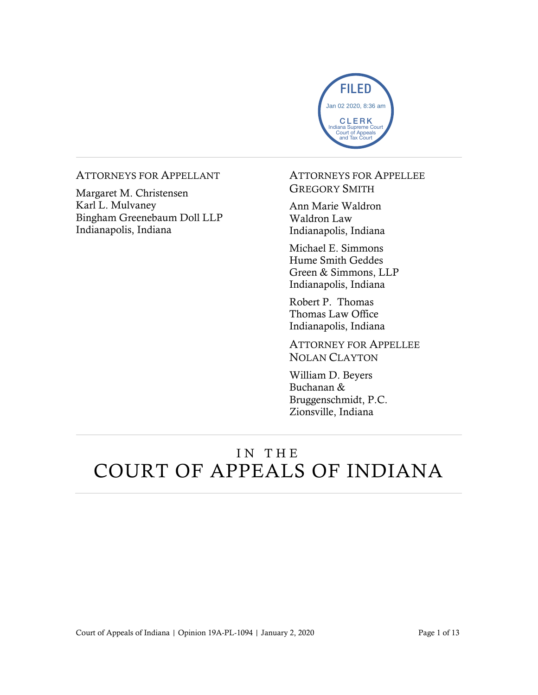

#### ATTORNEYS FOR APPELLANT

Margaret M. Christensen Karl L. Mulvaney Bingham Greenebaum Doll LLP Indianapolis, Indiana

#### ATTORNEYS FOR APPELLEE GREGORY SMITH

Ann Marie Waldron Waldron Law Indianapolis, Indiana

Michael E. Simmons Hume Smith Geddes Green & Simmons, LLP Indianapolis, Indiana

Robert P. Thomas Thomas Law Office Indianapolis, Indiana

ATTORNEY FOR APPELLEE NOLAN CLAYTON

William D. Beyers Buchanan & Bruggenschmidt, P.C. Zionsville, Indiana

# IN THE COURT OF APPEALS OF INDIANA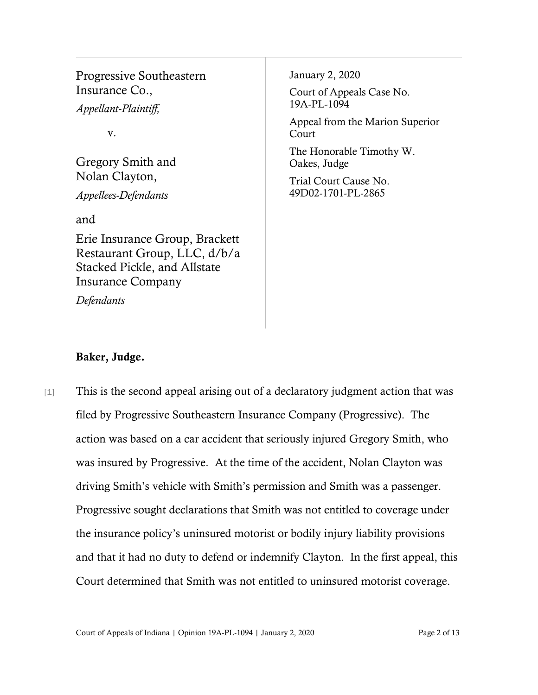Progressive Southeastern Insurance Co.,

*Appellant-Plaintiff,*

v.

Gregory Smith and Nolan Clayton, *Appellees-Defendants*

and

Erie Insurance Group, Brackett Restaurant Group, LLC, d/b/a Stacked Pickle, and Allstate Insurance Company

*Defendants*

January 2, 2020

Court of Appeals Case No. 19A-PL-1094

Appeal from the Marion Superior Court

The Honorable Timothy W. Oakes, Judge

Trial Court Cause No. 49D02-1701-PL-2865

### Baker, Judge.

[1] This is the second appeal arising out of a declaratory judgment action that was filed by Progressive Southeastern Insurance Company (Progressive). The action was based on a car accident that seriously injured Gregory Smith, who was insured by Progressive. At the time of the accident, Nolan Clayton was driving Smith's vehicle with Smith's permission and Smith was a passenger. Progressive sought declarations that Smith was not entitled to coverage under the insurance policy's uninsured motorist or bodily injury liability provisions and that it had no duty to defend or indemnify Clayton. In the first appeal, this Court determined that Smith was not entitled to uninsured motorist coverage.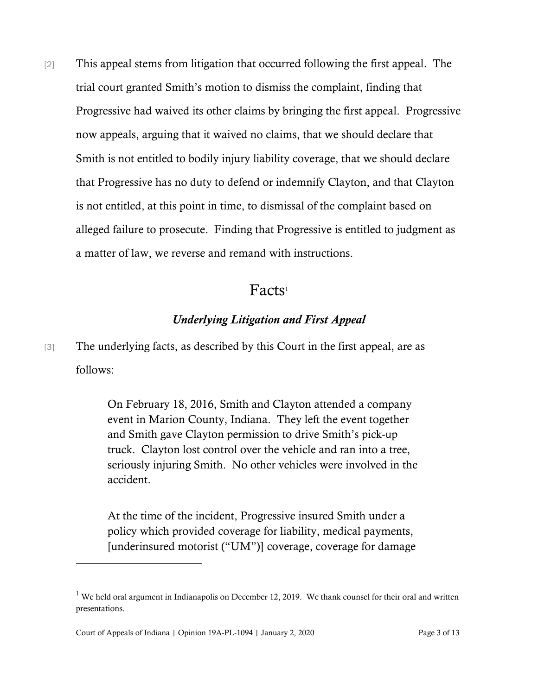[2] This appeal stems from litigation that occurred following the first appeal. The trial court granted Smith's motion to dismiss the complaint, finding that Progressive had waived its other claims by bringing the first appeal. Progressive now appeals, arguing that it waived no claims, that we should declare that Smith is not entitled to bodily injury liability coverage, that we should declare that Progressive has no duty to defend or indemnify Clayton, and that Clayton is not entitled, at this point in time, to dismissal of the complaint based on alleged failure to prosecute. Finding that Progressive is entitled to judgment as a matter of law, we reverse and remand with instructions.

# Facts<sup>1</sup>

### *Underlying Litigation and First Appeal*

[3] The underlying facts, as described by this Court in the first appeal, are as follows:

> On February 18, 2016, Smith and Clayton attended a company event in Marion County, Indiana. They left the event together and Smith gave Clayton permission to drive Smith's pick-up truck. Clayton lost control over the vehicle and ran into a tree, seriously injuring Smith. No other vehicles were involved in the accident.

> At the time of the incident, Progressive insured Smith under a policy which provided coverage for liability, medical payments, [underinsured motorist ("UM")] coverage, coverage for damage

Court of Appeals of Indiana | Opinion 19A-PL-1094 | January 2, 2020 Page 3 of 13

 $1$  We held oral argument in Indianapolis on December 12, 2019. We thank counsel for their oral and written presentations.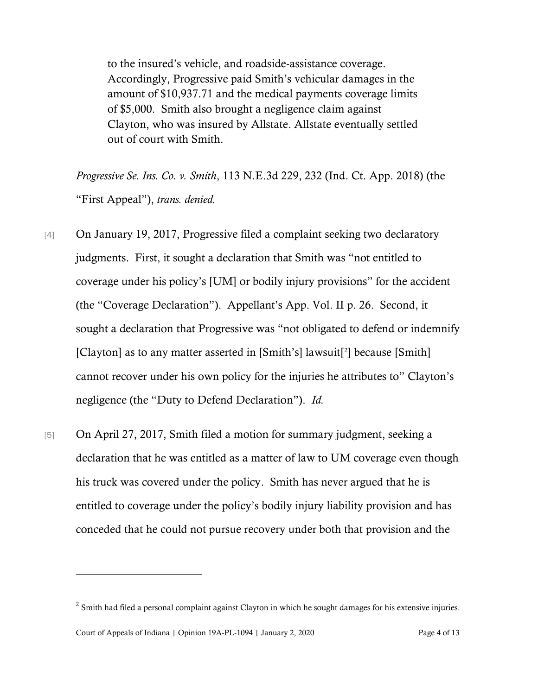to the insured's vehicle, and roadside-assistance coverage. Accordingly, Progressive paid Smith's vehicular damages in the amount of \$10,937.71 and the medical payments coverage limits of \$5,000. Smith also brought a negligence claim against Clayton, who was insured by Allstate. Allstate eventually settled out of court with Smith.

*Progressive Se. Ins. Co. v. Smith*, 113 N.E.3d 229, 232 (Ind. Ct. App. 2018) (the "First Appeal"), *trans. denied.*

- [4] On January 19, 2017, Progressive filed a complaint seeking two declaratory judgments. First, it sought a declaration that Smith was "not entitled to coverage under his policy's [UM] or bodily injury provisions" for the accident (the "Coverage Declaration"). Appellant's App. Vol. II p. 26. Second, it sought a declaration that Progressive was "not obligated to defend or indemnify [Clayton] as to any matter asserted in [Smith's] lawsuit<sup>[2</sup>] because [Smith] cannot recover under his own policy for the injuries he attributes to" Clayton's negligence (the "Duty to Defend Declaration"). *Id.*
- [5] On April 27, 2017, Smith filed a motion for summary judgment, seeking a declaration that he was entitled as a matter of law to UM coverage even though his truck was covered under the policy. Smith has never argued that he is entitled to coverage under the policy's bodily injury liability provision and has conceded that he could not pursue recovery under both that provision and the

l

 $2$  Smith had filed a personal complaint against Clayton in which he sought damages for his extensive injuries.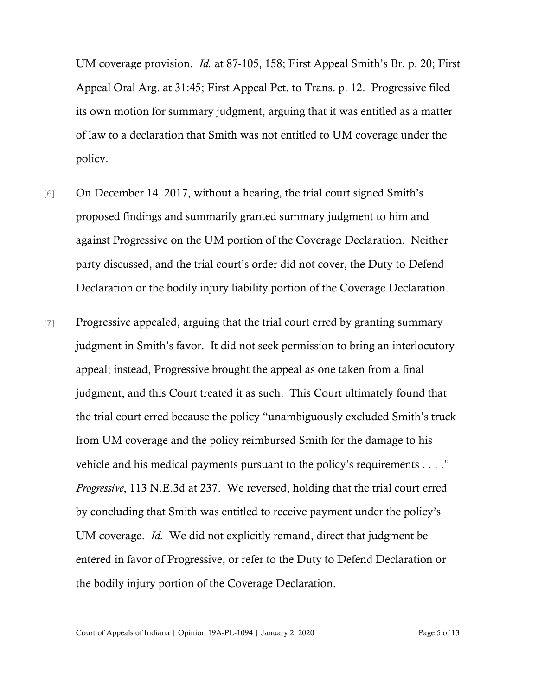UM coverage provision. *Id.* at 87-105, 158; First Appeal Smith's Br. p. 20; First Appeal Oral Arg. at 31:45; First Appeal Pet. to Trans. p. 12. Progressive filed its own motion for summary judgment, arguing that it was entitled as a matter of law to a declaration that Smith was not entitled to UM coverage under the policy.

- [6] On December 14, 2017, without a hearing, the trial court signed Smith's proposed findings and summarily granted summary judgment to him and against Progressive on the UM portion of the Coverage Declaration. Neither party discussed, and the trial court's order did not cover, the Duty to Defend Declaration or the bodily injury liability portion of the Coverage Declaration.
- [7] Progressive appealed, arguing that the trial court erred by granting summary judgment in Smith's favor. It did not seek permission to bring an interlocutory appeal; instead, Progressive brought the appeal as one taken from a final judgment, and this Court treated it as such. This Court ultimately found that the trial court erred because the policy "unambiguously excluded Smith's truck from UM coverage and the policy reimbursed Smith for the damage to his vehicle and his medical payments pursuant to the policy's requirements . . . ." *Progressive*, 113 N.E.3d at 237. We reversed, holding that the trial court erred by concluding that Smith was entitled to receive payment under the policy's UM coverage. *Id.* We did not explicitly remand, direct that judgment be entered in favor of Progressive, or refer to the Duty to Defend Declaration or the bodily injury portion of the Coverage Declaration.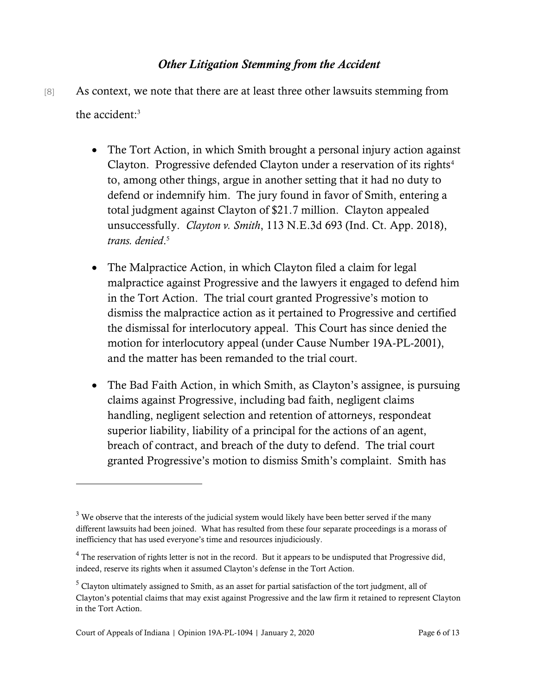#### *Other Litigation Stemming from the Accident*

- [8] As context, we note that there are at least three other lawsuits stemming from the accident:<sup>3</sup>
	- The Tort Action, in which Smith brought a personal injury action against Clayton. Progressive defended Clayton under a reservation of its rights<sup>4</sup> to, among other things, argue in another setting that it had no duty to defend or indemnify him. The jury found in favor of Smith, entering a total judgment against Clayton of \$21.7 million. Clayton appealed unsuccessfully. *Clayton v. Smith*, 113 N.E.3d 693 (Ind. Ct. App. 2018), *trans. denied*. 5
	- The Malpractice Action, in which Clayton filed a claim for legal malpractice against Progressive and the lawyers it engaged to defend him in the Tort Action. The trial court granted Progressive's motion to dismiss the malpractice action as it pertained to Progressive and certified the dismissal for interlocutory appeal. This Court has since denied the motion for interlocutory appeal (under Cause Number 19A-PL-2001), and the matter has been remanded to the trial court.
	- The Bad Faith Action, in which Smith, as Clayton's assignee, is pursuing claims against Progressive, including bad faith, negligent claims handling, negligent selection and retention of attorneys, respondeat superior liability, liability of a principal for the actions of an agent, breach of contract, and breach of the duty to defend. The trial court granted Progressive's motion to dismiss Smith's complaint. Smith has

 $3$  We observe that the interests of the judicial system would likely have been better served if the many different lawsuits had been joined. What has resulted from these four separate proceedings is a morass of inefficiency that has used everyone's time and resources injudiciously.

 $4$  The reservation of rights letter is not in the record. But it appears to be undisputed that Progressive did, indeed, reserve its rights when it assumed Clayton's defense in the Tort Action.

 $<sup>5</sup>$  Clayton ultimately assigned to Smith, as an asset for partial satisfaction of the tort judgment, all of</sup> Clayton's potential claims that may exist against Progressive and the law firm it retained to represent Clayton in the Tort Action.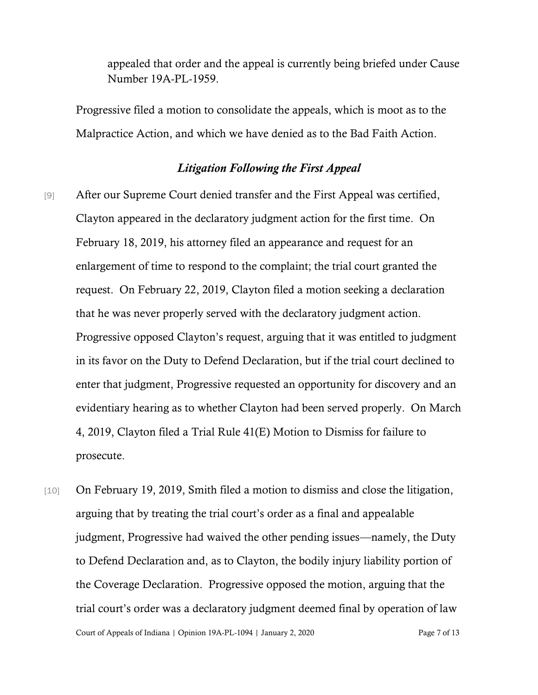appealed that order and the appeal is currently being briefed under Cause Number 19A-PL-1959.

Progressive filed a motion to consolidate the appeals, which is moot as to the Malpractice Action, and which we have denied as to the Bad Faith Action.

#### *Litigation Following the First Appeal*

- [9] After our Supreme Court denied transfer and the First Appeal was certified, Clayton appeared in the declaratory judgment action for the first time. On February 18, 2019, his attorney filed an appearance and request for an enlargement of time to respond to the complaint; the trial court granted the request. On February 22, 2019, Clayton filed a motion seeking a declaration that he was never properly served with the declaratory judgment action. Progressive opposed Clayton's request, arguing that it was entitled to judgment in its favor on the Duty to Defend Declaration, but if the trial court declined to enter that judgment, Progressive requested an opportunity for discovery and an evidentiary hearing as to whether Clayton had been served properly. On March 4, 2019, Clayton filed a Trial Rule 41(E) Motion to Dismiss for failure to prosecute.
- Court of Appeals of Indiana | Opinion 19A-PL-1094 | January 2, 2020 Page 7 of 13 [10] On February 19, 2019, Smith filed a motion to dismiss and close the litigation, arguing that by treating the trial court's order as a final and appealable judgment, Progressive had waived the other pending issues—namely, the Duty to Defend Declaration and, as to Clayton, the bodily injury liability portion of the Coverage Declaration. Progressive opposed the motion, arguing that the trial court's order was a declaratory judgment deemed final by operation of law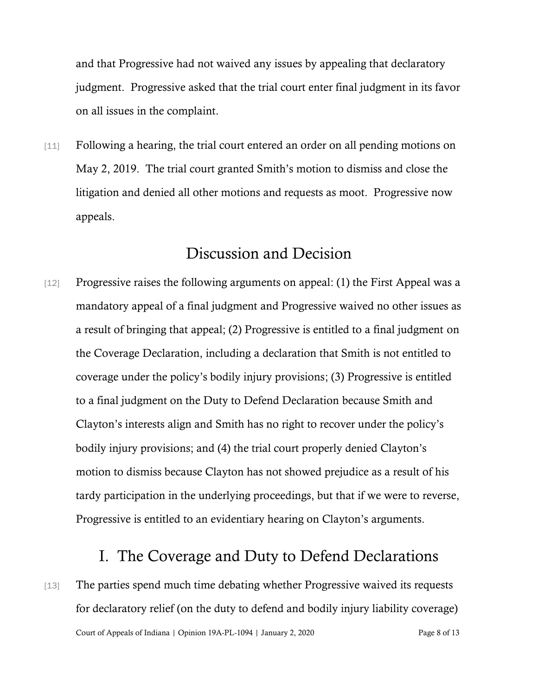and that Progressive had not waived any issues by appealing that declaratory judgment. Progressive asked that the trial court enter final judgment in its favor on all issues in the complaint.

[11] Following a hearing, the trial court entered an order on all pending motions on May 2, 2019. The trial court granted Smith's motion to dismiss and close the litigation and denied all other motions and requests as moot. Progressive now appeals.

# Discussion and Decision

[12] Progressive raises the following arguments on appeal: (1) the First Appeal was a mandatory appeal of a final judgment and Progressive waived no other issues as a result of bringing that appeal; (2) Progressive is entitled to a final judgment on the Coverage Declaration, including a declaration that Smith is not entitled to coverage under the policy's bodily injury provisions; (3) Progressive is entitled to a final judgment on the Duty to Defend Declaration because Smith and Clayton's interests align and Smith has no right to recover under the policy's bodily injury provisions; and (4) the trial court properly denied Clayton's motion to dismiss because Clayton has not showed prejudice as a result of his tardy participation in the underlying proceedings, but that if we were to reverse, Progressive is entitled to an evidentiary hearing on Clayton's arguments.

## I. The Coverage and Duty to Defend Declarations

Court of Appeals of Indiana | Opinion 19A-PL-1094 | January 2, 2020 Page 8 of 13 [13] The parties spend much time debating whether Progressive waived its requests for declaratory relief (on the duty to defend and bodily injury liability coverage)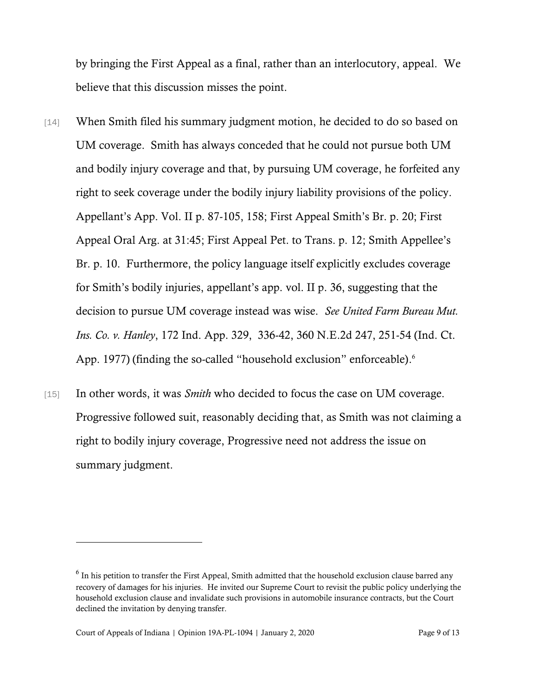by bringing the First Appeal as a final, rather than an interlocutory, appeal. We believe that this discussion misses the point.

- [14] When Smith filed his summary judgment motion, he decided to do so based on UM coverage. Smith has always conceded that he could not pursue both UM and bodily injury coverage and that, by pursuing UM coverage, he forfeited any right to seek coverage under the bodily injury liability provisions of the policy. Appellant's App. Vol. II p. 87-105, 158; First Appeal Smith's Br. p. 20; First Appeal Oral Arg. at 31:45; First Appeal Pet. to Trans. p. 12; Smith Appellee's Br. p. 10. Furthermore, the policy language itself explicitly excludes coverage for Smith's bodily injuries, appellant's app. vol. II p. 36, suggesting that the decision to pursue UM coverage instead was wise. *See United Farm Bureau Mut. Ins. Co. v. Hanley*, 172 Ind. App. 329, 336-42, 360 N.E.2d 247, 251-54 (Ind. Ct. App. 1977) (finding the so-called "household exclusion" enforceable).<sup>6</sup>
- [15] In other words, it was *Smith* who decided to focus the case on UM coverage. Progressive followed suit, reasonably deciding that, as Smith was not claiming a right to bodily injury coverage, Progressive need not address the issue on summary judgment.

l

 $<sup>6</sup>$  In his petition to transfer the First Appeal, Smith admitted that the household exclusion clause barred any</sup> recovery of damages for his injuries. He invited our Supreme Court to revisit the public policy underlying the household exclusion clause and invalidate such provisions in automobile insurance contracts, but the Court declined the invitation by denying transfer.

Court of Appeals of Indiana | Opinion 19A-PL-1094 | January 2, 2020 Page 9 of 13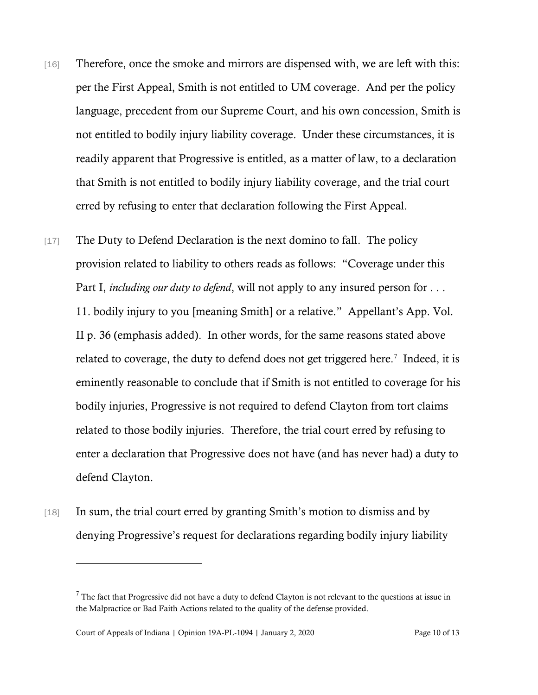- [16] Therefore, once the smoke and mirrors are dispensed with, we are left with this: per the First Appeal, Smith is not entitled to UM coverage. And per the policy language, precedent from our Supreme Court, and his own concession, Smith is not entitled to bodily injury liability coverage. Under these circumstances, it is readily apparent that Progressive is entitled, as a matter of law, to a declaration that Smith is not entitled to bodily injury liability coverage, and the trial court erred by refusing to enter that declaration following the First Appeal.
- [17] The Duty to Defend Declaration is the next domino to fall. The policy provision related to liability to others reads as follows: "Coverage under this Part I, *including our duty to defend*, will not apply to any insured person for . . . 11. bodily injury to you [meaning Smith] or a relative." Appellant's App. Vol. II p. 36 (emphasis added). In other words, for the same reasons stated above related to coverage, the duty to defend does not get triggered here.<sup>7</sup> Indeed, it is eminently reasonable to conclude that if Smith is not entitled to coverage for his bodily injuries, Progressive is not required to defend Clayton from tort claims related to those bodily injuries. Therefore, the trial court erred by refusing to enter a declaration that Progressive does not have (and has never had) a duty to defend Clayton.
- [18] In sum, the trial court erred by granting Smith's motion to dismiss and by denying Progressive's request for declarations regarding bodily injury liability

 $<sup>7</sup>$  The fact that Progressive did not have a duty to defend Clayton is not relevant to the questions at issue in</sup> the Malpractice or Bad Faith Actions related to the quality of the defense provided.

Court of Appeals of Indiana | Opinion 19A-PL-1094 | January 2, 2020 Page 10 of 13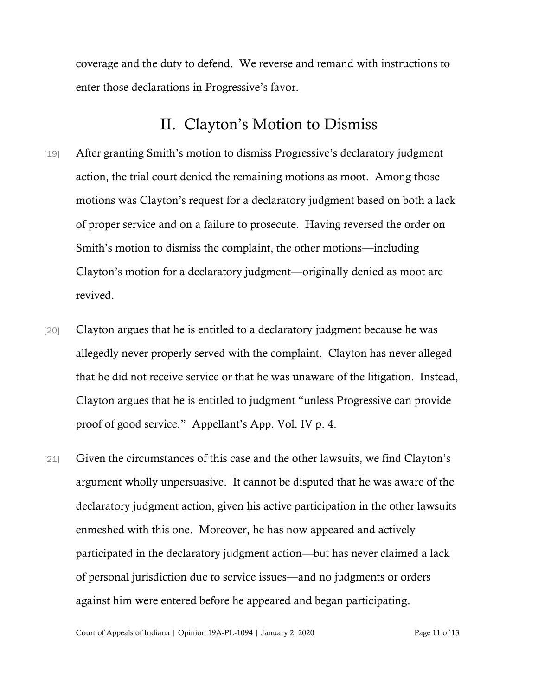coverage and the duty to defend. We reverse and remand with instructions to enter those declarations in Progressive's favor.

### II. Clayton's Motion to Dismiss

- [19] After granting Smith's motion to dismiss Progressive's declaratory judgment action, the trial court denied the remaining motions as moot. Among those motions was Clayton's request for a declaratory judgment based on both a lack of proper service and on a failure to prosecute. Having reversed the order on Smith's motion to dismiss the complaint, the other motions—including Clayton's motion for a declaratory judgment—originally denied as moot are revived.
- [20] Clayton argues that he is entitled to a declaratory judgment because he was allegedly never properly served with the complaint. Clayton has never alleged that he did not receive service or that he was unaware of the litigation. Instead, Clayton argues that he is entitled to judgment "unless Progressive can provide proof of good service." Appellant's App. Vol. IV p. 4.
- [21] Given the circumstances of this case and the other lawsuits, we find Clayton's argument wholly unpersuasive. It cannot be disputed that he was aware of the declaratory judgment action, given his active participation in the other lawsuits enmeshed with this one. Moreover, he has now appeared and actively participated in the declaratory judgment action—but has never claimed a lack of personal jurisdiction due to service issues—and no judgments or orders against him were entered before he appeared and began participating.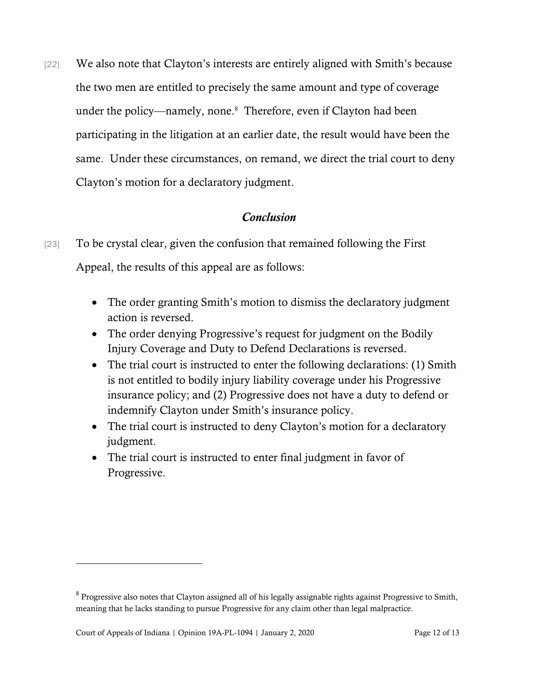[22] We also note that Clayton's interests are entirely aligned with Smith's because the two men are entitled to precisely the same amount and type of coverage under the policy—namely, none.<sup>8</sup> Therefore, even if Clayton had been participating in the litigation at an earlier date, the result would have been the same. Under these circumstances, on remand, we direct the trial court to deny Clayton's motion for a declaratory judgment.

### *Conclusion*

- [23] To be crystal clear, given the confusion that remained following the First Appeal, the results of this appeal are as follows:
	- The order granting Smith's motion to dismiss the declaratory judgment action is reversed.
	- The order denying Progressive's request for judgment on the Bodily Injury Coverage and Duty to Defend Declarations is reversed.
	- The trial court is instructed to enter the following declarations: (1) Smith is not entitled to bodily injury liability coverage under his Progressive insurance policy; and (2) Progressive does not have a duty to defend or indemnify Clayton under Smith's insurance policy.
	- The trial court is instructed to deny Clayton's motion for a declaratory judgment.
	- The trial court is instructed to enter final judgment in favor of Progressive.

 $8$  Progressive also notes that Clayton assigned all of his legally assignable rights against Progressive to Smith, meaning that he lacks standing to pursue Progressive for any claim other than legal malpractice.